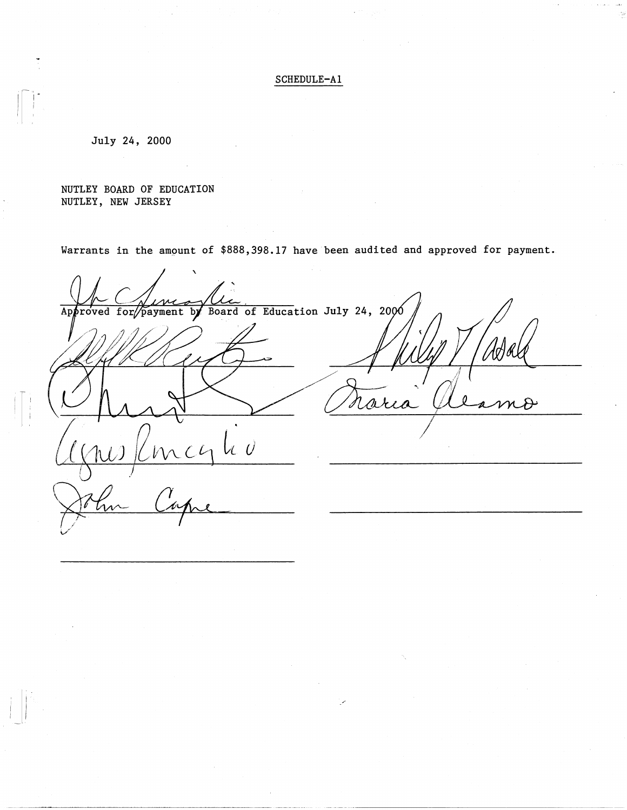## SCHEDULE-Al

July 24, 2000

NUTLEY BOARD OF EDUCATION NUTLEY, NEW JERSEY

Warrants in the ampunt of \$888,398.17 have been audited and approved for payment.

' payment by Board of Education July 24, 2000 Ap roved for arc  $2$  (ni)  $\ell$ mcg k v V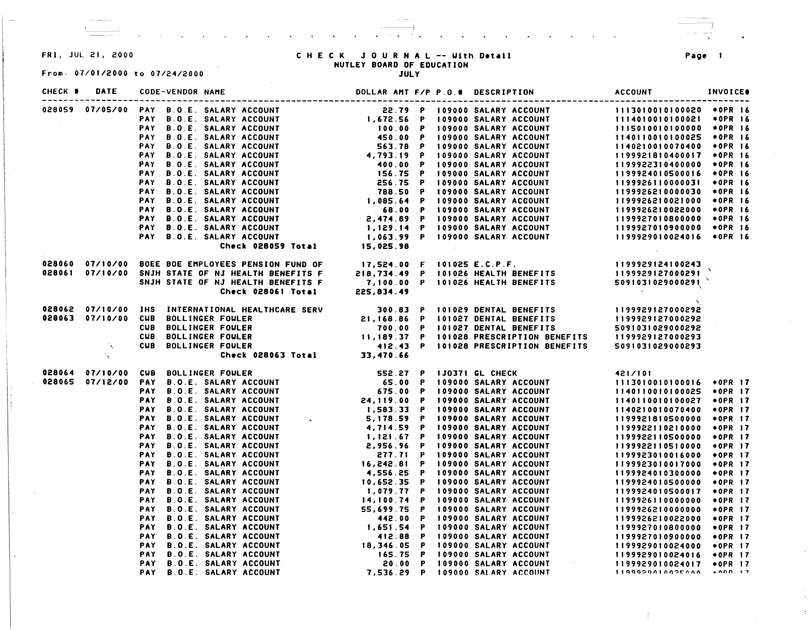## From: 07/01/2000 to 07/24/2000 JULY

## FR I. JUL 21, 2000 C H E C K JOURNAL -- Uith **D•tail Page**  NUTLEY **BOARD** OF EDUCATION

~ - I

| CHECK # | DATE | <b>CODE-VENDOR NAME</b>                                                                                                                                                                                                              |  | DOLLAR AMT F/P P.O.# DESCRIPTION | <b>ACCOUNT</b> | <b>INVOICE®</b> |  |
|---------|------|--------------------------------------------------------------------------------------------------------------------------------------------------------------------------------------------------------------------------------------|--|----------------------------------|----------------|-----------------|--|
|         |      |                                                                                                                                                                                                                                      |  |                                  |                |                 |  |
|         |      |                                                                                                                                                                                                                                      |  |                                  |                |                 |  |
|         |      |                                                                                                                                                                                                                                      |  |                                  |                |                 |  |
|         |      |                                                                                                                                                                                                                                      |  |                                  |                |                 |  |
|         |      |                                                                                                                                                                                                                                      |  |                                  |                |                 |  |
|         |      |                                                                                                                                                                                                                                      |  |                                  |                |                 |  |
|         |      |                                                                                                                                                                                                                                      |  |                                  |                |                 |  |
|         |      |                                                                                                                                                                                                                                      |  |                                  |                |                 |  |
|         |      |                                                                                                                                                                                                                                      |  |                                  |                |                 |  |
|         |      |                                                                                                                                                                                                                                      |  |                                  |                |                 |  |
|         |      |                                                                                                                                                                                                                                      |  |                                  |                |                 |  |
|         |      |                                                                                                                                                                                                                                      |  |                                  |                |                 |  |
|         |      |                                                                                                                                                                                                                                      |  |                                  |                |                 |  |
|         |      |                                                                                                                                                                                                                                      |  |                                  |                |                 |  |
|         |      |                                                                                                                                                                                                                                      |  |                                  |                |                 |  |
|         |      | 028060 07/10/00 BOEE BOE EMPLOYEES PENSION FUND OF 17,524.00 F 101025 E.C.P.F. 1199929124100243<br>1199929127000291 07/10/00 SNJH STATE OF NJ HEALTH BENEFITS F 218,734.49 P 101026 HEALTH BENEFITS 1199929127000291<br>Check 028061 |  |                                  |                |                 |  |
|         |      |                                                                                                                                                                                                                                      |  |                                  |                |                 |  |
|         |      |                                                                                                                                                                                                                                      |  |                                  |                |                 |  |
|         |      |                                                                                                                                                                                                                                      |  |                                  |                |                 |  |
|         |      |                                                                                                                                                                                                                                      |  |                                  |                |                 |  |
|         |      |                                                                                                                                                                                                                                      |  |                                  |                |                 |  |
|         |      |                                                                                                                                                                                                                                      |  |                                  |                |                 |  |
|         |      |                                                                                                                                                                                                                                      |  |                                  |                |                 |  |
|         |      |                                                                                                                                                                                                                                      |  |                                  |                |                 |  |
|         |      | 028062 07/10/00 IHS INTERNATIONAL HEALTHCARE SERV 300.83 P 101029 DENTAL BENEFITS 1199929127000292<br>028063 07/10/00 CUB BOLLINGER FOULER 21,168.86 P 101027 DENTAL BENEFITS 1199929127000292<br>CUB BOLLINGER FOULER 700.00 P 1010 |  |                                  |                |                 |  |
|         |      |                                                                                                                                                                                                                                      |  |                                  |                |                 |  |
|         |      |                                                                                                                                                                                                                                      |  |                                  |                |                 |  |
|         |      |                                                                                                                                                                                                                                      |  |                                  |                |                 |  |
|         |      |                                                                                                                                                                                                                                      |  |                                  |                |                 |  |
|         |      |                                                                                                                                                                                                                                      |  |                                  |                |                 |  |
|         |      |                                                                                                                                                                                                                                      |  |                                  |                |                 |  |
|         |      |                                                                                                                                                                                                                                      |  |                                  |                |                 |  |
|         |      |                                                                                                                                                                                                                                      |  |                                  |                |                 |  |
|         |      |                                                                                                                                                                                                                                      |  |                                  |                |                 |  |
|         |      |                                                                                                                                                                                                                                      |  |                                  |                |                 |  |
|         |      |                                                                                                                                                                                                                                      |  |                                  |                |                 |  |
|         |      |                                                                                                                                                                                                                                      |  |                                  |                |                 |  |
|         |      |                                                                                                                                                                                                                                      |  |                                  |                |                 |  |
|         |      |                                                                                                                                                                                                                                      |  |                                  |                |                 |  |
|         |      |                                                                                                                                                                                                                                      |  |                                  |                |                 |  |
|         |      |                                                                                                                                                                                                                                      |  |                                  |                |                 |  |
|         |      |                                                                                                                                                                                                                                      |  |                                  |                |                 |  |
|         |      |                                                                                                                                                                                                                                      |  |                                  |                |                 |  |
|         |      |                                                                                                                                                                                                                                      |  |                                  |                |                 |  |
|         |      |                                                                                                                                                                                                                                      |  |                                  |                |                 |  |
|         |      |                                                                                                                                                                                                                                      |  |                                  |                |                 |  |
|         |      |                                                                                                                                                                                                                                      |  |                                  |                |                 |  |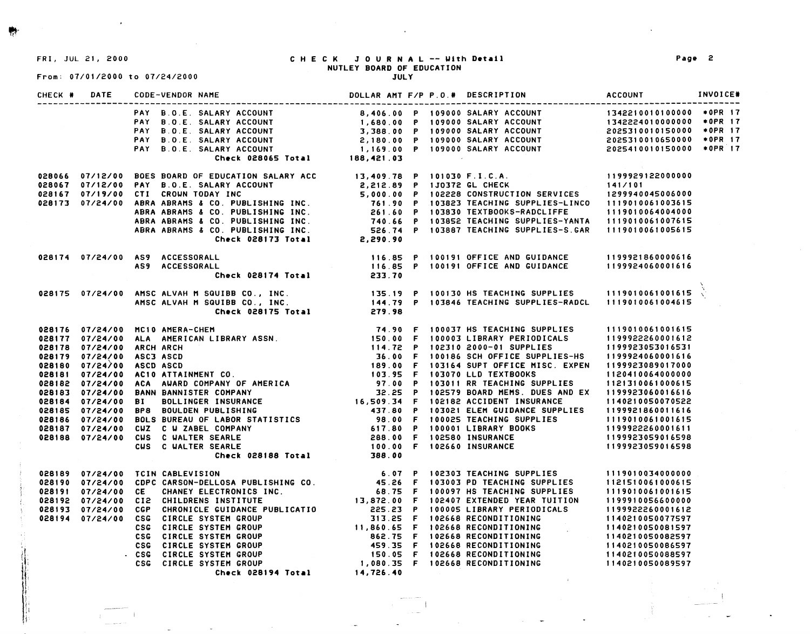~·

l i' ',I

From: 07/01/2000 to 07/24/2000

## FRI, JUL 21, 2000 CHECK JOURNAL -- With **D•tail**  NUTLEY **BOARD** OF EDUCATION

#### JULY

| CHECK # | <b>DATE</b> | <b>CODE-VENDOR NAME</b>                                                                                                                                                                                                                  |  | DOLLAR AMT F/P P.O.# DESCRIPTION | ACCOUNT INVOICE# |  |
|---------|-------------|------------------------------------------------------------------------------------------------------------------------------------------------------------------------------------------------------------------------------------------|--|----------------------------------|------------------|--|
|         |             |                                                                                                                                                                                                                                          |  |                                  |                  |  |
|         |             |                                                                                                                                                                                                                                          |  |                                  |                  |  |
|         |             |                                                                                                                                                                                                                                          |  |                                  |                  |  |
|         |             |                                                                                                                                                                                                                                          |  |                                  |                  |  |
|         |             |                                                                                                                                                                                                                                          |  |                                  |                  |  |
|         |             |                                                                                                                                                                                                                                          |  |                                  |                  |  |
|         |             |                                                                                                                                                                                                                                          |  |                                  |                  |  |
|         |             |                                                                                                                                                                                                                                          |  |                                  |                  |  |
|         |             |                                                                                                                                                                                                                                          |  |                                  |                  |  |
|         |             |                                                                                                                                                                                                                                          |  |                                  |                  |  |
|         |             |                                                                                                                                                                                                                                          |  |                                  |                  |  |
|         |             |                                                                                                                                                                                                                                          |  |                                  |                  |  |
|         |             |                                                                                                                                                                                                                                          |  |                                  |                  |  |
|         |             | 028066 07/12/00 BOES BOARD OF EDUCATION SALARY ACC<br>028067 07/12/00 PAY B.O.E. SALARY ACCOUNT<br>028167 07/19/00 CTI CROWN TODAY INC<br>028167 07/19/00 CTI CROWN TODAY INC<br>028173 07/24/00 ABRA ABRAMS & CO. PUBLISHING INC.<br>AB |  |                                  |                  |  |
|         |             | 028174 07/24/00 AS9 ACCESSORALL 116.85 P 100191 OFFICE AND GUIDANCE 1199921860000616<br>AS9 ACCESSORALL 116.85 P 100191 OFFICE AND GUIDANCE 1199924060001616<br>Check 028174 Total 233.70                                                |  |                                  |                  |  |
|         |             |                                                                                                                                                                                                                                          |  |                                  |                  |  |
|         |             |                                                                                                                                                                                                                                          |  |                                  |                  |  |
|         |             |                                                                                                                                                                                                                                          |  |                                  |                  |  |
|         |             |                                                                                                                                                                                                                                          |  |                                  |                  |  |
|         |             |                                                                                                                                                                                                                                          |  |                                  |                  |  |
|         |             | 028176 07/24/00 MC10 AMERA-CHEM (74.90 F 100037 HS TEACHING SUPPLIES 1119010061001615<br>028178 07/24/00 ALC AMERICAN LIBRARY ASSN. [150.00 F 100031.IBRARY ASSN. [1999222620001612<br>028178 07/24/00 ARCH ARCH (1999230530162531       |  |                                  |                  |  |
|         |             |                                                                                                                                                                                                                                          |  |                                  |                  |  |
|         |             |                                                                                                                                                                                                                                          |  |                                  |                  |  |
|         |             |                                                                                                                                                                                                                                          |  |                                  |                  |  |
|         |             |                                                                                                                                                                                                                                          |  |                                  |                  |  |
|         |             |                                                                                                                                                                                                                                          |  |                                  |                  |  |
|         |             |                                                                                                                                                                                                                                          |  |                                  |                  |  |
|         |             |                                                                                                                                                                                                                                          |  |                                  |                  |  |
|         |             |                                                                                                                                                                                                                                          |  |                                  |                  |  |
|         |             |                                                                                                                                                                                                                                          |  |                                  |                  |  |
|         |             |                                                                                                                                                                                                                                          |  |                                  |                  |  |
|         |             |                                                                                                                                                                                                                                          |  |                                  |                  |  |
|         |             |                                                                                                                                                                                                                                          |  |                                  |                  |  |
|         |             |                                                                                                                                                                                                                                          |  |                                  |                  |  |
|         |             |                                                                                                                                                                                                                                          |  |                                  |                  |  |
|         |             | 028199 07/24/00 CDPC CARSON-DELLOSA PUBLISHING CO.<br>028190 07/24/00 CDPC CARSON-DELLOSA PUBLISHING CO.<br>028191 07/24/00 CDPC CARSON-DELLOSA PUBLISHING CO.<br>028191 07/24/00 CDP CHANNEY ELECTRONICS INC.<br>028193 07/24/00 CDP    |  |                                  |                  |  |
|         |             |                                                                                                                                                                                                                                          |  |                                  |                  |  |
|         |             |                                                                                                                                                                                                                                          |  |                                  |                  |  |
|         |             |                                                                                                                                                                                                                                          |  |                                  |                  |  |
|         |             |                                                                                                                                                                                                                                          |  |                                  |                  |  |
|         |             |                                                                                                                                                                                                                                          |  |                                  |                  |  |
|         |             |                                                                                                                                                                                                                                          |  |                                  |                  |  |
|         |             |                                                                                                                                                                                                                                          |  |                                  |                  |  |
|         |             |                                                                                                                                                                                                                                          |  |                                  |                  |  |
|         |             |                                                                                                                                                                                                                                          |  |                                  |                  |  |
|         |             |                                                                                                                                                                                                                                          |  |                                  |                  |  |
|         |             |                                                                                                                                                                                                                                          |  |                                  |                  |  |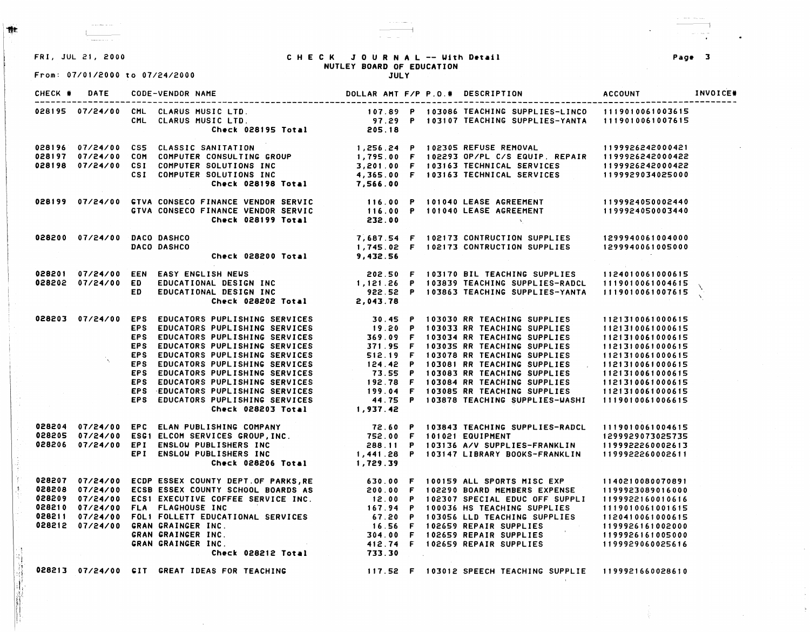

..

,;

Q,

D, D.

;jf ;~, 1;1 '1 1, ,,

From: 07/01/2000 to 07/24/2000

وبالواسخ وبالمراج

**Contractor Commercial** 

#### FRI, JUL 21, 2000 CHECK JOURNAL -- Uith **D•tail**  NUTLEY **BOARD** OF EDUCATION **JULY**

 $\sim$   $\sim$   $\sim$   $\sim$   $\sim$ 

| CHECK # | <b>DATE</b>                 | CODE-VENDOR NAME                                                                                                                                                                                                                                                                                                                                                                                                                                                              |  | DOLLAR AMT F/P P.O.# DESCRIPTION                                                                | <b>ACCOUNT</b> | INVOICE# |
|---------|-----------------------------|-------------------------------------------------------------------------------------------------------------------------------------------------------------------------------------------------------------------------------------------------------------------------------------------------------------------------------------------------------------------------------------------------------------------------------------------------------------------------------|--|-------------------------------------------------------------------------------------------------|----------------|----------|
|         |                             | 028195 07/24/00 CML CLARUS MUSIC LTD. [107.89 P 103086 TEACHING SUPPLIES-LINCO 1119010061003615<br>CML CLARUS MUSIC LTD. [103107 TEACHING SUPPLIES-YANTA 1119010061007615<br>Check 028195 Total 205.18                                                                                                                                                                                                                                                                        |  |                                                                                                 |                |          |
|         |                             | 028196 07/24/00 CS5 CLASSIC SANITATION (1,256.24 P 102305 REFUSE REMOVAL 1199926242000421<br>028197 07/24/00 COM COMPUTER CONSULTING GROUP (1,795.00 F 102293 OP/PL C/S EQUIP. REPAIR 1199926242000422<br>028198 07/24/00 CSI COMPUT                                                                                                                                                                                                                                          |  |                                                                                                 |                |          |
|         |                             |                                                                                                                                                                                                                                                                                                                                                                                                                                                                               |  |                                                                                                 |                |          |
|         |                             |                                                                                                                                                                                                                                                                                                                                                                                                                                                                               |  |                                                                                                 |                |          |
|         |                             |                                                                                                                                                                                                                                                                                                                                                                                                                                                                               |  |                                                                                                 |                |          |
|         |                             |                                                                                                                                                                                                                                                                                                                                                                                                                                                                               |  |                                                                                                 |                |          |
|         |                             | 028199 07/24/00 GTVA CONSECO FINANCE VENDOR SERVIC 116.00 P 101040 LEASE AGREEMENT 1199924050002440<br>GTVA CONSECO FINANCE VENDOR SERVIC 116.00 P 101040 LEASE AGREEMENT 1199924050003440<br>Check 028199 Total 232.00                                                                                                                                                                                                                                                       |  |                                                                                                 |                |          |
|         |                             |                                                                                                                                                                                                                                                                                                                                                                                                                                                                               |  |                                                                                                 |                |          |
|         |                             |                                                                                                                                                                                                                                                                                                                                                                                                                                                                               |  |                                                                                                 |                |          |
|         | 028200 07/24/00 DACO DASHCO |                                                                                                                                                                                                                                                                                                                                                                                                                                                                               |  | 7,687.54 F 102173 CONTRUCTION SUPPLIES 1299940061004000<br>Check 028200 Total 9,432.56 9,432.56 |                |          |
|         |                             | DACO DASHCO                                                                                                                                                                                                                                                                                                                                                                                                                                                                   |  |                                                                                                 |                |          |
|         |                             |                                                                                                                                                                                                                                                                                                                                                                                                                                                                               |  |                                                                                                 |                |          |
|         |                             |                                                                                                                                                                                                                                                                                                                                                                                                                                                                               |  |                                                                                                 |                |          |
|         |                             |                                                                                                                                                                                                                                                                                                                                                                                                                                                                               |  |                                                                                                 |                |          |
|         |                             |                                                                                                                                                                                                                                                                                                                                                                                                                                                                               |  |                                                                                                 |                |          |
|         |                             | 028201 07/24/00 EEN EASY_ENGLISH_NEWS 202.50 F 103170 BIL_TEACHING_SUPPLIES 1124010061000615<br>028202 07/24/00 ED EDUCATIONAL_DESIGN_INC 922.52 P 103839_TEACHING_SUPPLIES-RADCL 1119010061004615<br>Check_028202_Total 2,043.78<br>028203 07/24/00 EPS EDUCATORS PUPLISHING SERVICES<br>EPS EDUCATORS PUPLISHING SERVICES<br>EPS EDUCATORS PUPLISHING SERVICES<br>EPS EDUCATORS PUPLISHING SERVICES<br>EPS EDUCATORS PUPLISHING SERVICES<br>EPS EDUCATORS PUPLISHING SERVIC |  |                                                                                                 |                |          |
|         |                             |                                                                                                                                                                                                                                                                                                                                                                                                                                                                               |  |                                                                                                 |                |          |
|         |                             |                                                                                                                                                                                                                                                                                                                                                                                                                                                                               |  |                                                                                                 |                |          |
|         |                             |                                                                                                                                                                                                                                                                                                                                                                                                                                                                               |  |                                                                                                 |                |          |
|         |                             |                                                                                                                                                                                                                                                                                                                                                                                                                                                                               |  |                                                                                                 |                |          |
|         |                             |                                                                                                                                                                                                                                                                                                                                                                                                                                                                               |  |                                                                                                 |                |          |
|         |                             |                                                                                                                                                                                                                                                                                                                                                                                                                                                                               |  |                                                                                                 |                |          |
|         |                             |                                                                                                                                                                                                                                                                                                                                                                                                                                                                               |  |                                                                                                 |                |          |
|         |                             |                                                                                                                                                                                                                                                                                                                                                                                                                                                                               |  |                                                                                                 |                |          |
|         |                             |                                                                                                                                                                                                                                                                                                                                                                                                                                                                               |  |                                                                                                 |                |          |
|         |                             |                                                                                                                                                                                                                                                                                                                                                                                                                                                                               |  |                                                                                                 |                |          |
|         |                             |                                                                                                                                                                                                                                                                                                                                                                                                                                                                               |  |                                                                                                 |                |          |
|         |                             |                                                                                                                                                                                                                                                                                                                                                                                                                                                                               |  |                                                                                                 |                |          |
|         |                             |                                                                                                                                                                                                                                                                                                                                                                                                                                                                               |  |                                                                                                 |                |          |
|         |                             |                                                                                                                                                                                                                                                                                                                                                                                                                                                                               |  |                                                                                                 |                |          |
|         |                             |                                                                                                                                                                                                                                                                                                                                                                                                                                                                               |  |                                                                                                 |                |          |
|         |                             | 028204 07/24/00 EPC ELAN PUBLISHING COMPANY 72.60 P 103843 TEACHING SUPPLIES-RADCL 1119010061004615<br>028205 07/24/00 ESG1 ELCOM SERVICES GROUP,INC. 752.00 F 101021 EQUIPMENT 1299929073025735<br>028206 07/24/00 EPI ENSLOW PUBLI                                                                                                                                                                                                                                          |  |                                                                                                 |                |          |
|         |                             |                                                                                                                                                                                                                                                                                                                                                                                                                                                                               |  |                                                                                                 |                |          |
|         |                             |                                                                                                                                                                                                                                                                                                                                                                                                                                                                               |  |                                                                                                 |                |          |
|         |                             |                                                                                                                                                                                                                                                                                                                                                                                                                                                                               |  |                                                                                                 |                |          |
|         |                             |                                                                                                                                                                                                                                                                                                                                                                                                                                                                               |  |                                                                                                 |                |          |
|         |                             |                                                                                                                                                                                                                                                                                                                                                                                                                                                                               |  |                                                                                                 |                |          |
|         |                             |                                                                                                                                                                                                                                                                                                                                                                                                                                                                               |  |                                                                                                 |                |          |
|         |                             |                                                                                                                                                                                                                                                                                                                                                                                                                                                                               |  |                                                                                                 |                |          |
|         |                             |                                                                                                                                                                                                                                                                                                                                                                                                                                                                               |  |                                                                                                 |                |          |
|         |                             | 028207 07/24/00 ECDP ESSEX COUNTY DEPT OF PARKS,RE<br>028208 07/24/00 ECSB ESSEX COUNTY SCHOOL BOARDS AS<br>028209 07/24/00 ECSB ESSEX COUNTY SCHOOL BOARDS AS<br>028210 07/24/00 FLA FLAGHOUSE INC<br>028210 07/24/00 FLA FLAGHOUSE I                                                                                                                                                                                                                                        |  |                                                                                                 |                |          |
|         |                             | 028213 07/24/00 GIT GREAT IDEAS FOR TEACHING                                                                                                                                                                                                                                                                                                                                                                                                                                  |  | 117.52 F 103012 SPEECH TEACHING SUPPLIE 1199921660028610                                        |                |          |
|         |                             |                                                                                                                                                                                                                                                                                                                                                                                                                                                                               |  |                                                                                                 |                |          |

Pag• 3

 $\bullet$ 

 $\sim$ 

Ÿ.,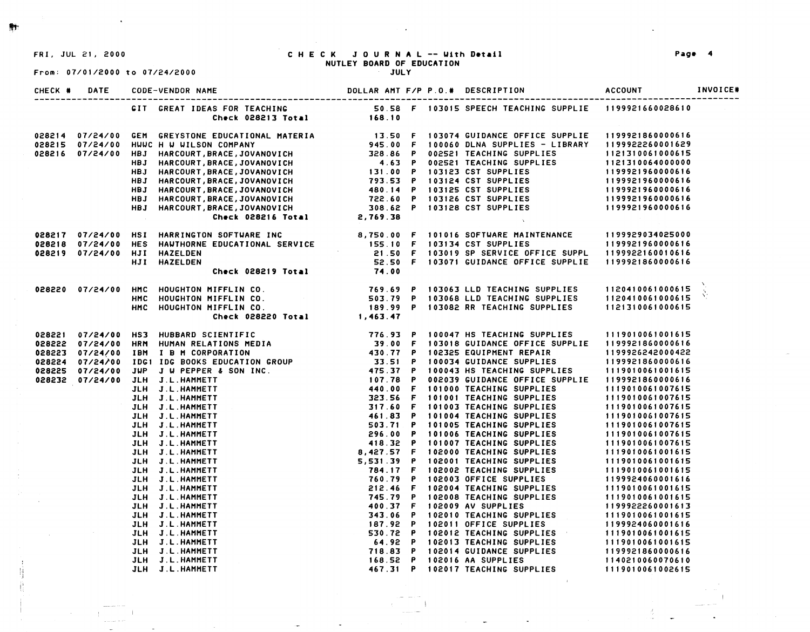**#+** 

 $\cdot$  $\frac{11}{3}$ 

j.

# FRI, JUL 21, 2000 C H E C K **JOURNAL** -- IJith **D•tail Pag• 4**  NUTLEY **BOARD OF EDUCATION**

From: 07/01/2000 to 07/24/2000

| CHECK # DATE |                                                                                                                                                                                                                                            |  |  |  |
|--------------|--------------------------------------------------------------------------------------------------------------------------------------------------------------------------------------------------------------------------------------------|--|--|--|
|              |                                                                                                                                                                                                                                            |  |  |  |
|              |                                                                                                                                                                                                                                            |  |  |  |
|              |                                                                                                                                                                                                                                            |  |  |  |
|              |                                                                                                                                                                                                                                            |  |  |  |
|              |                                                                                                                                                                                                                                            |  |  |  |
|              |                                                                                                                                                                                                                                            |  |  |  |
|              |                                                                                                                                                                                                                                            |  |  |  |
|              |                                                                                                                                                                                                                                            |  |  |  |
|              |                                                                                                                                                                                                                                            |  |  |  |
|              |                                                                                                                                                                                                                                            |  |  |  |
|              | 028214 07/24/00 GEM GREYSTONE EDUCATIONAL MATERIA 13.50 F 103074 GUIDANCE OFFICE SUPPLIE 1199921860000616<br>028215 07/24/00 HUMC HW UILSON COMPANY 945.00 F 100060 DLNA SUPPLIES – LIBRARY 1199922260001629<br>028216 07/24/00 HBJ        |  |  |  |
|              |                                                                                                                                                                                                                                            |  |  |  |
|              |                                                                                                                                                                                                                                            |  |  |  |
|              |                                                                                                                                                                                                                                            |  |  |  |
|              |                                                                                                                                                                                                                                            |  |  |  |
|              | 028217 07/24/00 HSI HARRINGTON SOFTWARE INC 8,750.00 F 101016 SOFTWARE MAINTENANCE 1199929034025000<br>028218 07/24/00 HES HAWTHORNE EDUCATIONAL SERVICE 155.10 F 103134 CST SUPPLIES 1199921960000616<br>028219 07/24/00 HJI HAZELD       |  |  |  |
|              | 028220 07/24/00 HMC HOUGHTON MIFFLIN CO. TEAS TO 103063 LLD TEACHING SUPPLIES 1120410061000615<br>HMC HOUGHTON MIFFLIN CO. 503.79 P 103068 LLD TEACHING SUPPLIES 1120410061000615<br>Check 028220 Total 1,463.47                           |  |  |  |
|              |                                                                                                                                                                                                                                            |  |  |  |
|              |                                                                                                                                                                                                                                            |  |  |  |
|              |                                                                                                                                                                                                                                            |  |  |  |
|              | 32822 07/24/00 HRM HUMAN CREW PORT (1997 - 174.5 - 179 10047 HS TEACHING SUPPLIES<br>128222 07/24/00 HRM HUMAN RELATIONS NEOTA<br>128222 07/24/00 HRM HUMAN RELATIONS NEOTA<br>12822 07/24/00 JDR   ID N CORPORATION<br>12822 07/24/00 JDR |  |  |  |
|              |                                                                                                                                                                                                                                            |  |  |  |
|              |                                                                                                                                                                                                                                            |  |  |  |
|              |                                                                                                                                                                                                                                            |  |  |  |
|              |                                                                                                                                                                                                                                            |  |  |  |
|              |                                                                                                                                                                                                                                            |  |  |  |
|              |                                                                                                                                                                                                                                            |  |  |  |
|              |                                                                                                                                                                                                                                            |  |  |  |
|              |                                                                                                                                                                                                                                            |  |  |  |
|              |                                                                                                                                                                                                                                            |  |  |  |
|              |                                                                                                                                                                                                                                            |  |  |  |
|              |                                                                                                                                                                                                                                            |  |  |  |
|              |                                                                                                                                                                                                                                            |  |  |  |
|              |                                                                                                                                                                                                                                            |  |  |  |
|              |                                                                                                                                                                                                                                            |  |  |  |
|              |                                                                                                                                                                                                                                            |  |  |  |
|              |                                                                                                                                                                                                                                            |  |  |  |
|              |                                                                                                                                                                                                                                            |  |  |  |
|              |                                                                                                                                                                                                                                            |  |  |  |
|              |                                                                                                                                                                                                                                            |  |  |  |
|              |                                                                                                                                                                                                                                            |  |  |  |
|              |                                                                                                                                                                                                                                            |  |  |  |
|              |                                                                                                                                                                                                                                            |  |  |  |
|              |                                                                                                                                                                                                                                            |  |  |  |
|              |                                                                                                                                                                                                                                            |  |  |  |
|              |                                                                                                                                                                                                                                            |  |  |  |

-1

and the second

 $\sim 10$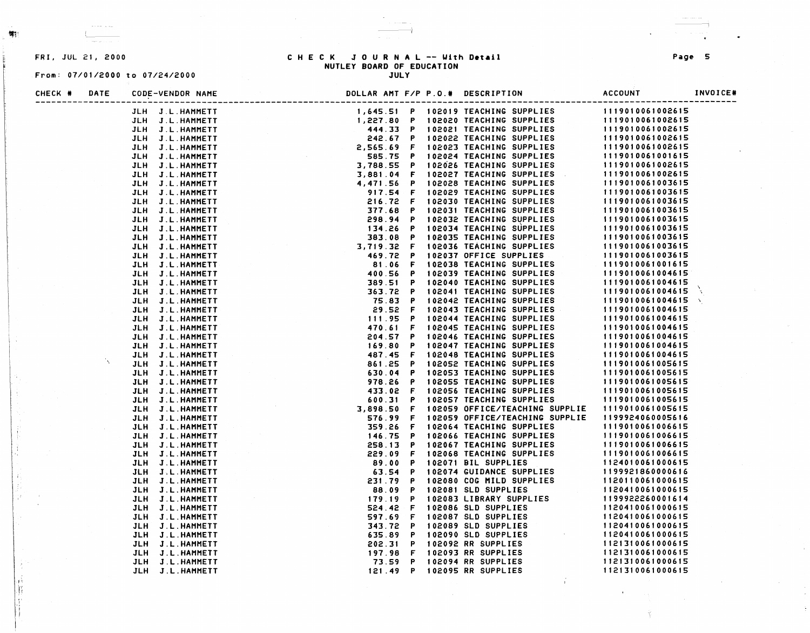R

### From: 07/01/2000 to 07/24/2000 JULY

# FRI, JUL 21, 2000 C H E C K JOURNAL -- Uith D•t•il **Page** 5 NUTLEY **BOARD** OF EDUCATION

## CHECK# DATE CODE-VENDOR NAME DOLLAR AMT F/P P.O.# DESCRIPTION ACCOUNT INVOICE# ----------------------------------------------------------------------------------------------------------------------------------- JLH J.L.HAMMETT 1,645.51 p 102019 TEACHING SUPPLIES 1119010061002615 JLH J.L.HAMMETT 1,227.80 P 102020 TEACHING SUPPLIES 111901006100261 JLH J.L.HAMMETT 444.33 **p** 102021 TEACHING SUPPLIES 1119010061002615 JLH J.L.HAMMETT 242.67 p 102022 TEACHING SUPPLIES 1119010061002615 JLH J.L.HAMMETT 2,565.69 F 102023 TEACHING SUPPLIES 1119010061002 JLH J.L.HAMMETT 585.75 **p** 102024 TEACHING SUPPLIES 111901 0061001 615 JLH J.L.HAMMETT 3,788.55 p 102626 TEACHING SUPPLIES 1119010061002615 JLH J.L.HAMMETT 3, 881 . 04 F 102027 TEACHING SUPPLIES 1119010061002615 JLH J.L.HAMMETT 4,471.56 P 102028 TEACHING SUPPLIES 1119010061003 JLH J.L.HAMMETT 917.54 F 102029 TEACHING SUPPLIES 1119010061003615 JLH J.L.HAMMETT 216.72 F 102030 TEACHING SUPPLIES 1119010061003615 JLH J.L.HAMMETT 377.68 P 102031 TEACHING SUPPLIES 1119010061003 JLH J.L.HAMMETT 298.94 **p** 102032 TEACHING SUPPLIES 1119010061003615 JLH J.L.HAMMETT 134. 26 **p** 102034 TEACHING SUPPLIES 1119010061003615 JLH J.L.HAMl'IETT 383.08 **p** 102035 TEACHING SUPPLIES 1119010061003615 JLH J.L.HAMMETT 3,719.32 F 102036 TEACHING SUPPLIES 1119010061003615 JLH J.L.HAMMETT 469.72 **p** 102037 OFFICE SUPPLIES 1119010061003615 JLH J.L.HAMMETT 81 . **06** F 102038 TEACHING SUPPLIES 1119010061001615 JLH J.L.HAMMETT 400.56 **p** 102039 TEACHING SUPPLIES 1119010061004615 JLH J.L.HAMMETT 389.51 **p** 102040 TEACHING SUPPLIES 1119010061004615 N JLH J.L.HAMMETT 363.72 **p** 102041 TEACHING SUPPLIES 1119010061004615 JLH J.L.HAMMETT 75.83 **p** 102042 TEACHING SUPPLIES 1119010061004615 \ JLH J.L.HAMMETT 29.52 F 102043 TEACHING SUPPLIES 1119010061004615 JLH J.L.HAMMETT 11 I . 95 p 102044 TEACHING SUPPLIES 1119010061004615 JLH J.L.HAMMETT 470.61 F 102045 TEACHING SUPPLIES 1119010061004615 JLH J.L.HAMMETT 204.57 **p** 102046 TEACHING SUPPLIES 1119010061004615 JLH J.L.HAMMETT **169.80 p** 102047 TEACHING SUPPLIES 1119010061004615 JLH J.L.HAMMETT 487.45 F 102048 TEACHING SUPPLIES 11 I 901 0 0 61 0.0 4 6 15 ŇΣ. JLH J.L.HAMMETT 861. 25 p 102052 TEACHING SUPPLIES 1119010061005615 JLH J.L.HAMMETT 630.04 **p** 102053 TEACHING SUPPLIES 1119010061005615 JLH J.L.HAMMETT **978.26 p** 102055 TEACHING SUPPLIES 1119010061005615 JLH J.L.HAMMETT 433.02 F 102056 TEACHING SUPPLIES 1119010061005615 JLH J.L.HAMMETT 600.31 **p** 102057 TEACHING SUPPLIES 1119010061005615 JLH J.L.HAMMETT 3,898.50 F 102059 OFFICE/TEACHING SUPPLIE 11190100 61005615 JLH J.L.HAMMETT **576.99** F 102059 OFFICE/TEACHING SUPPLIE 1199924060005616 JLH J.L.HAMMETT 359.26 F 102064 TEACHING SUPPLIES 1119010061006615 JLH J.L.HAMMETT 146.75 **p** 102066 TEACHING SUPPLIES 1119010061006615 JLH J.L.HAMMETT 258. 13 **p** 102067 TEACHING SUPPLIES 1119010061006615 JLH J.L.HAMMETT 229.09 F 102068 TEACHING SUPPLIES 1119010061006615 JLH J.L.HAMMETT 89.00 **p** 102071 BIL SUPPLIES 1124010061000615 JLH J.L.HAl111ETT 63.54 p 102074 GUIDANCE SUPPLIES 1199921860000616 JLH J.L.HAl111ETT 231 . 79 **p** 102080 COG MILD SUPPLIES 1120110061000615 JLH J.L.HAMMETT **88.09** p 102081 SLD SUPPLIES 1120410061000615 JLH J.L.HAMMETT 179.19 P 102083 LIBRARY SUPPLIES 1199922260001 JLH J.L.HAMMETT 524. 42 F 102086 SLD SUPPLIES 1120410061000615 JLH J.L.HAl111ETT 597.69 F 102087 SLD SUPPLIES 1120410061000615 JLH J.L.HAMMETT 343.72 p 102089 SLD SUPPLIES 1120410061000615 JLH J.L.HA1111ETT 635.89 **p** 102090 SLD SUPPLIES 1120410061000615 JLH J.L.HAMMETT 202.31 p 102092 RR SUPPLIES 1121310061000615 JLH J.L.HAMMETT 197.98 F 102093 RR SUPPLIES 1121310061000615 JLH J.L.HAMMETT 73.59 p 102094 RR SUPPLIES 1121310061000615 JLH J.L.HAMMETT 121 . 49 p 102095 RR SUPPLIES 1121310061000615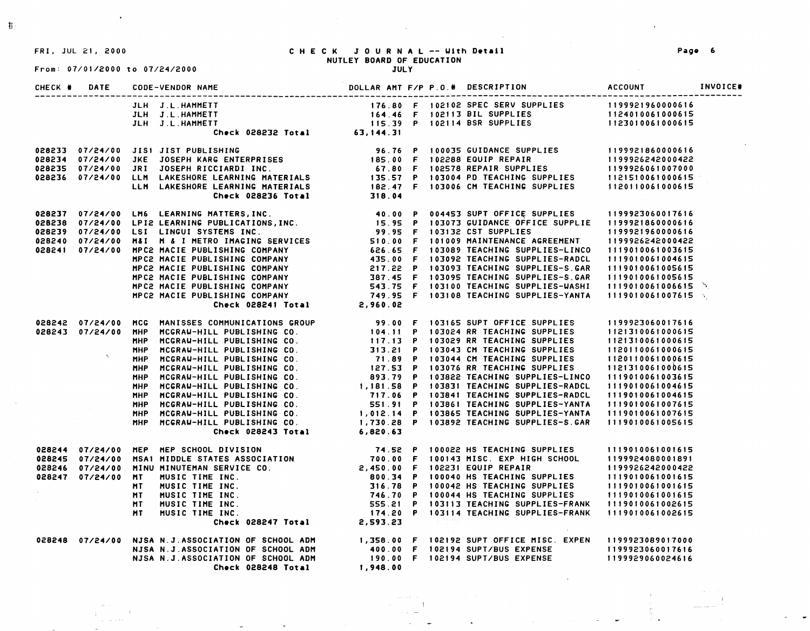### FRI, JUL 21, 2000 CHECK JOURNAL -- Ulth **D•tall**  NUTLEY **BOARD** OF EDUCATION

JULY

 $\sim$ 

f!

## From: 07/01/2000 to 07/24/2000

 $\blacksquare$ 

| CHECK # | DATE |                                                                                                                                                                                                                                                                        |  |  |                  | INVOICE# |
|---------|------|------------------------------------------------------------------------------------------------------------------------------------------------------------------------------------------------------------------------------------------------------------------------|--|--|------------------|----------|
|         |      |                                                                                                                                                                                                                                                                        |  |  |                  |          |
|         |      |                                                                                                                                                                                                                                                                        |  |  |                  |          |
|         |      |                                                                                                                                                                                                                                                                        |  |  |                  |          |
|         |      |                                                                                                                                                                                                                                                                        |  |  |                  |          |
|         |      | 028233 07/24/00 JIS1 JIST PUBLISHING<br>028234 07/24/00 JKE JOSEPH KARG ENTERPRISES (185.00 F 102288 EQUIP REPAIR (199926242000422<br>028235 07/24/00 JRI JOSEPH RICCIARDI INC. 67.80 F 102578 REPAIR SUPPLIES (199926061007000<br>0282                                |  |  |                  |          |
|         |      |                                                                                                                                                                                                                                                                        |  |  |                  |          |
|         |      |                                                                                                                                                                                                                                                                        |  |  |                  |          |
|         |      |                                                                                                                                                                                                                                                                        |  |  |                  |          |
|         |      |                                                                                                                                                                                                                                                                        |  |  |                  |          |
|         |      |                                                                                                                                                                                                                                                                        |  |  |                  |          |
|         |      | 028238 07/24/00 LM6 LEARNING MATTERS, INC. 40.00 P 004453 SUPT OFFICE SUPPLIES 1199923060017616<br>028238 07/24/00 LPI2 LEARNING PUBLICATIONS, INC. 57 10373 GUIDANCE OFFICE SUPPLIES 1199921860000616<br>028240 07/24/00 LSI LING                                     |  |  |                  |          |
|         |      |                                                                                                                                                                                                                                                                        |  |  |                  |          |
|         |      |                                                                                                                                                                                                                                                                        |  |  |                  |          |
|         |      |                                                                                                                                                                                                                                                                        |  |  |                  |          |
|         |      |                                                                                                                                                                                                                                                                        |  |  |                  |          |
|         |      |                                                                                                                                                                                                                                                                        |  |  |                  |          |
|         |      |                                                                                                                                                                                                                                                                        |  |  |                  |          |
|         |      |                                                                                                                                                                                                                                                                        |  |  |                  |          |
|         |      |                                                                                                                                                                                                                                                                        |  |  | 1119010061006615 |          |
|         |      |                                                                                                                                                                                                                                                                        |  |  | 1119010061007615 |          |
|         |      |                                                                                                                                                                                                                                                                        |  |  |                  |          |
|         |      |                                                                                                                                                                                                                                                                        |  |  | 1199923060017616 |          |
|         |      |                                                                                                                                                                                                                                                                        |  |  | 1121310061000615 |          |
|         |      |                                                                                                                                                                                                                                                                        |  |  | 1121310061000615 |          |
|         |      |                                                                                                                                                                                                                                                                        |  |  | 1120110061000615 |          |
|         |      |                                                                                                                                                                                                                                                                        |  |  | 1120110061000615 |          |
|         |      |                                                                                                                                                                                                                                                                        |  |  | 1121310061000615 |          |
|         |      |                                                                                                                                                                                                                                                                        |  |  | 1119010061003615 |          |
|         |      |                                                                                                                                                                                                                                                                        |  |  | 1119010061004615 |          |
|         |      |                                                                                                                                                                                                                                                                        |  |  | 1119010061004615 |          |
|         |      |                                                                                                                                                                                                                                                                        |  |  | 1119010061007615 |          |
|         |      |                                                                                                                                                                                                                                                                        |  |  | 1119010061007615 |          |
|         |      | 028242 07/24/00 MCG MANISSES COMMUNICATIONS GROUP<br>028243 07/24/00 MHP MCGRAU-HILL PUBLISHING CO.<br>MHP MCGRAU-HILL PUBLISHING CO.<br>MHP MCGRAU-HILL PUBLISHING CO.<br>MHP MCGRAU-HILL PUBLISHING CO.<br>MHP MCGRAU-HILL PUBLISHING<br>Check 028243 Total 6,820.63 |  |  | 1119010061005615 |          |
|         |      | 028244 07/24/00 MEP MEP SCHOOL DIVISION<br>028245 07/24/00 MSA1 MIDDLE STATES ASSOCIATION<br>028246 07/24/00 MINU MINUTEMAN SERVICE CO.<br>028247 07/24/00 MINU MINUTEMAN SERVICE CO.<br>MINUSIC TIME INC.<br>MINUSIC TIME INC.<br>MINUSIC                             |  |  |                  |          |
|         |      |                                                                                                                                                                                                                                                                        |  |  |                  |          |
|         |      |                                                                                                                                                                                                                                                                        |  |  |                  |          |
|         |      |                                                                                                                                                                                                                                                                        |  |  |                  |          |
|         |      |                                                                                                                                                                                                                                                                        |  |  |                  |          |
|         |      |                                                                                                                                                                                                                                                                        |  |  |                  |          |

2,593.23

**1,948.00** 

 $\sim$  100 km s  $^{-1}$ Service State

555.21 p 1 03113 TEACHING SUPPLIES-FRANK 174.20 P 103114 TEACHING SUPPLIES-FRANK

1,358.00 F 102192 SUPT OFFICE MISC. EXPEN 400.00 F 102194 SUPT/BUS EXPENSE 190.00 F 102194 SUPT/BUS EXPENSE

MUSIC TIME INC. MUSIC TIME INC.

Ch•ck **028247 Total** 

028248 07/24/00 NJSA N.J.ASSOCIATION OF SCHOOL ADM NJSA N.J.ASSOCIATION OF SCHOOL ADM NJSA N.J.ASSOCIATION OF SCHOOL ADM Ch•ck **028248 Total** 

MT **NT** 

 $\pm$ 

**Pag• 6** 

1119010061002615 1119010061002615

1199923089017000 1199923060017616 1199929060024616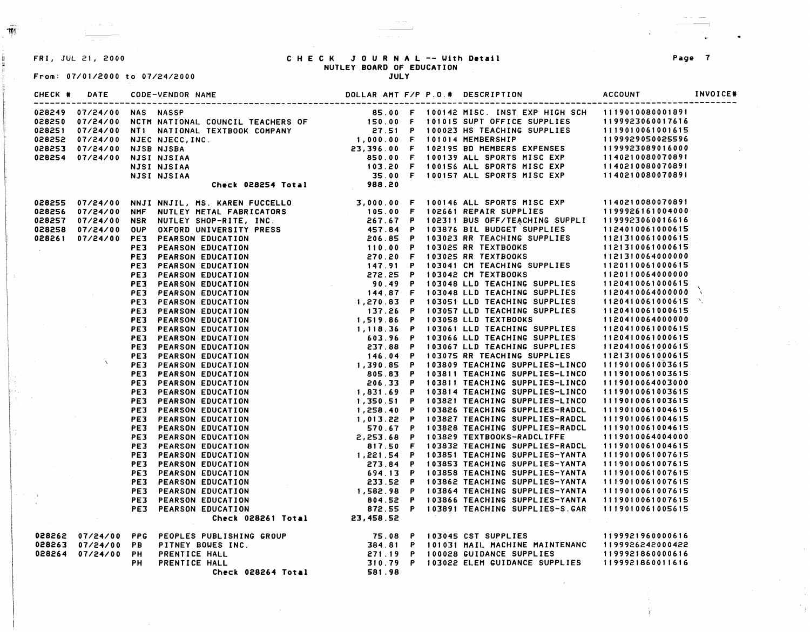## From: 07/01/2000 to 07/24/2000

# FRI, JUL 21, 2000 C H E C K JOURNAL -- Uith **Detail Page** 7 NUTLEY BOARD OF EDUCATION<br>JULY

 $~\frac{1}{\sqrt{2}}$ 

| CHECK # | DATE<br>-------------------- |    | CODE-VENDOR NAME                                                                                                                                                                                                               |  |  | DOLLAR AMT F/P P.O.# DESCRIPTION | ACCOUNT | INVOICE# |
|---------|------------------------------|----|--------------------------------------------------------------------------------------------------------------------------------------------------------------------------------------------------------------------------------|--|--|----------------------------------|---------|----------|
|         |                              |    |                                                                                                                                                                                                                                |  |  |                                  |         |          |
|         |                              |    |                                                                                                                                                                                                                                |  |  |                                  |         |          |
|         |                              |    |                                                                                                                                                                                                                                |  |  |                                  |         |          |
|         |                              |    |                                                                                                                                                                                                                                |  |  |                                  |         |          |
|         |                              |    |                                                                                                                                                                                                                                |  |  |                                  |         |          |
|         |                              |    |                                                                                                                                                                                                                                |  |  |                                  |         |          |
|         |                              |    |                                                                                                                                                                                                                                |  |  |                                  |         |          |
|         |                              |    |                                                                                                                                                                                                                                |  |  |                                  |         |          |
|         |                              |    |                                                                                                                                                                                                                                |  |  |                                  |         |          |
|         |                              |    |                                                                                                                                                                                                                                |  |  |                                  |         |          |
|         |                              |    |                                                                                                                                                                                                                                |  |  |                                  |         |          |
|         |                              |    |                                                                                                                                                                                                                                |  |  |                                  |         |          |
|         |                              |    |                                                                                                                                                                                                                                |  |  |                                  |         |          |
|         |                              |    |                                                                                                                                                                                                                                |  |  |                                  |         |          |
|         |                              |    |                                                                                                                                                                                                                                |  |  |                                  |         |          |
|         |                              |    |                                                                                                                                                                                                                                |  |  |                                  |         |          |
|         |                              |    |                                                                                                                                                                                                                                |  |  |                                  |         |          |
|         |                              |    |                                                                                                                                                                                                                                |  |  |                                  |         |          |
|         |                              |    |                                                                                                                                                                                                                                |  |  |                                  |         |          |
|         |                              |    |                                                                                                                                                                                                                                |  |  |                                  |         |          |
|         |                              |    |                                                                                                                                                                                                                                |  |  |                                  |         |          |
|         |                              |    |                                                                                                                                                                                                                                |  |  |                                  |         |          |
|         |                              |    |                                                                                                                                                                                                                                |  |  |                                  |         |          |
|         |                              |    |                                                                                                                                                                                                                                |  |  |                                  |         |          |
|         |                              |    |                                                                                                                                                                                                                                |  |  |                                  |         |          |
|         |                              |    |                                                                                                                                                                                                                                |  |  |                                  |         |          |
|         |                              |    |                                                                                                                                                                                                                                |  |  |                                  |         |          |
|         |                              |    |                                                                                                                                                                                                                                |  |  |                                  |         |          |
|         |                              |    |                                                                                                                                                                                                                                |  |  |                                  |         |          |
|         |                              |    |                                                                                                                                                                                                                                |  |  |                                  |         |          |
|         |                              |    |                                                                                                                                                                                                                                |  |  |                                  |         |          |
|         |                              |    |                                                                                                                                                                                                                                |  |  |                                  |         |          |
|         |                              |    |                                                                                                                                                                                                                                |  |  |                                  |         |          |
|         |                              |    |                                                                                                                                                                                                                                |  |  |                                  |         |          |
|         |                              |    |                                                                                                                                                                                                                                |  |  |                                  |         |          |
|         |                              |    |                                                                                                                                                                                                                                |  |  |                                  |         |          |
|         |                              |    |                                                                                                                                                                                                                                |  |  |                                  |         |          |
|         |                              |    |                                                                                                                                                                                                                                |  |  |                                  |         |          |
|         |                              |    |                                                                                                                                                                                                                                |  |  |                                  |         |          |
|         |                              |    |                                                                                                                                                                                                                                |  |  |                                  |         |          |
|         |                              |    |                                                                                                                                                                                                                                |  |  |                                  |         |          |
|         |                              |    |                                                                                                                                                                                                                                |  |  |                                  |         |          |
|         |                              |    |                                                                                                                                                                                                                                |  |  |                                  |         |          |
|         |                              |    |                                                                                                                                                                                                                                |  |  |                                  |         |          |
|         |                              |    | $164855 97/24/90 1981 191/11. 15 164854 17461 16483 17464 1648 17461 1648 17464 17464 17464 17464 17464 17464 17464 17464 17464 17464 17464 17464 17464 17464 17464 17464 17464 17464 17464 17464 17464 17464 17464 17464 174$ |  |  |                                  |         |          |
|         | 028262 07/24/00 PPG          |    |                                                                                                                                                                                                                                |  |  |                                  |         |          |
|         | 028263 07/24/00 PB           |    |                                                                                                                                                                                                                                |  |  |                                  |         |          |
|         | 028264 07/24/00 PH           |    |                                                                                                                                                                                                                                |  |  |                                  |         |          |
|         |                              | PН |                                                                                                                                                                                                                                |  |  |                                  |         |          |
|         |                              |    |                                                                                                                                                                                                                                |  |  |                                  |         |          |

 $\hat{\rho}_{\rm max} = \hat{\rho}_{\rm max}$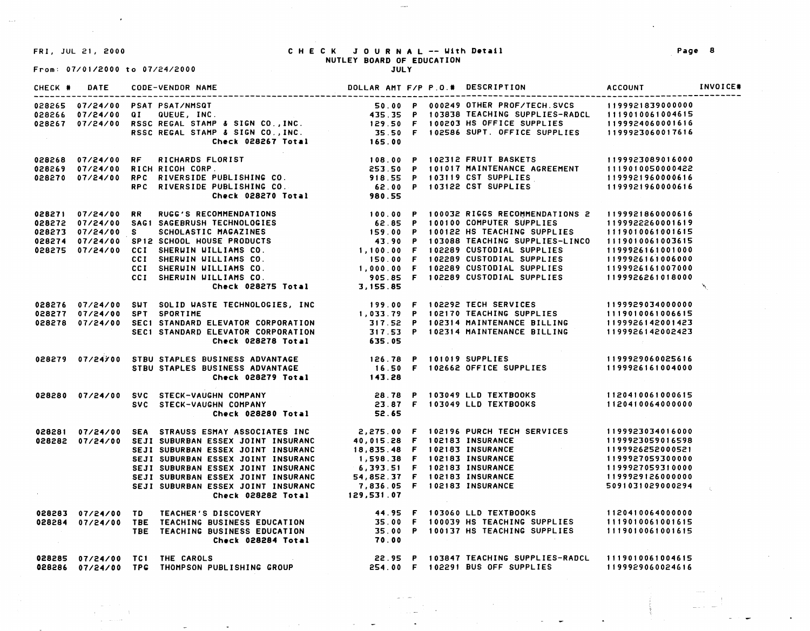$\mathbb{R}^{n \times n}$ 

## FRI, JUL 21, 2000 CHECK JOURNAL -- Uith **D•tail**  NUTLEY **BOARD** OF EDUCATION JULY

From: 07/01/2000 to 07/24/2000

 $\lambda$ 

|            |  | DOLLAR AMT F/P P.O. # DESCRIPTION<br>CHECK # DATE CODE-VENDOR NAME                                                                                                                                                                       |  |  | <b>ACCOUNT</b>                       | <b>INVOICE*</b> |
|------------|--|------------------------------------------------------------------------------------------------------------------------------------------------------------------------------------------------------------------------------------------|--|--|--------------------------------------|-----------------|
|            |  | 028265 07/24/00 PSAT PSAT/NMSQT<br>028266 07/24/00 PSAT PSAT/NMSQT 50.00 P 000249 OTHER PROF/TECH.SVCS 1199921839000000<br>028266 07/24/00 QI QUEUE, INC. 435.35 P 103838 TEACHING SUPPLIES-RADCL 1119010061004615<br>028267 07/24/00 R  |  |  |                                      |                 |
|            |  |                                                                                                                                                                                                                                          |  |  |                                      |                 |
|            |  |                                                                                                                                                                                                                                          |  |  |                                      |                 |
|            |  |                                                                                                                                                                                                                                          |  |  |                                      |                 |
|            |  |                                                                                                                                                                                                                                          |  |  |                                      |                 |
|            |  | 028268 07/24/00 RF RICHARDS FLORIST   108.00 P 102312 FRUIT BASKETS   1199923089016000<br>028269 07/24/00 RICH RICOH CORP   253.50 P 101017 MAINTENANCE AGREEMENT   1119010050000422<br>028270 07/24/00 RPC RIVERSIDE PUBLISHING CO.     |  |  |                                      |                 |
|            |  |                                                                                                                                                                                                                                          |  |  |                                      |                 |
|            |  |                                                                                                                                                                                                                                          |  |  |                                      |                 |
|            |  |                                                                                                                                                                                                                                          |  |  |                                      |                 |
|            |  |                                                                                                                                                                                                                                          |  |  |                                      |                 |
|            |  |                                                                                                                                                                                                                                          |  |  |                                      |                 |
|            |  |                                                                                                                                                                                                                                          |  |  |                                      |                 |
|            |  |                                                                                                                                                                                                                                          |  |  |                                      |                 |
|            |  |                                                                                                                                                                                                                                          |  |  |                                      |                 |
|            |  |                                                                                                                                                                                                                                          |  |  |                                      |                 |
|            |  |                                                                                                                                                                                                                                          |  |  |                                      |                 |
|            |  |                                                                                                                                                                                                                                          |  |  |                                      |                 |
|            |  | 028271 07/24/00 RR RUGC'S RECOMMENDATIONS (028272 07/24/00 SAGI SAGEBRUSH TECHNOLOGIES (2.85 P 100100 COMPUTER SUPPLIES 1199922260001619<br>199922260001619 (2.85 P 100100 COMPUTER SUPPLIES 1199922260001619<br>199922260001615 (2.     |  |  |                                      | $\mathcal{N}$   |
|            |  |                                                                                                                                                                                                                                          |  |  |                                      |                 |
|            |  |                                                                                                                                                                                                                                          |  |  |                                      |                 |
|            |  |                                                                                                                                                                                                                                          |  |  |                                      |                 |
|            |  |                                                                                                                                                                                                                                          |  |  |                                      |                 |
|            |  |                                                                                                                                                                                                                                          |  |  |                                      |                 |
|            |  |                                                                                                                                                                                                                                          |  |  |                                      |                 |
|            |  |                                                                                                                                                                                                                                          |  |  | 1199929060025616<br>1199926161004000 |                 |
|            |  |                                                                                                                                                                                                                                          |  |  |                                      |                 |
|            |  |                                                                                                                                                                                                                                          |  |  |                                      |                 |
|            |  |                                                                                                                                                                                                                                          |  |  |                                      |                 |
|            |  |                                                                                                                                                                                                                                          |  |  |                                      |                 |
|            |  |                                                                                                                                                                                                                                          |  |  |                                      |                 |
|            |  | 028281 07/24/00 SEA STRAUSS ESMAY ASSOCIATES INC<br>028281 07/24/00 SEJI SUBURBAN ESSEX JOINT INSURANC<br>SEJI SUBURBAN ESSEX JOINT INSURANC<br>SEJI SUBURBAN ESSEX JOINT INSURANC<br>SEJI SUBURBAN ESSEX JOINT INSURANC<br>SEJI SUBURBA |  |  |                                      |                 |
|            |  |                                                                                                                                                                                                                                          |  |  |                                      |                 |
|            |  |                                                                                                                                                                                                                                          |  |  |                                      |                 |
|            |  |                                                                                                                                                                                                                                          |  |  |                                      |                 |
|            |  |                                                                                                                                                                                                                                          |  |  |                                      |                 |
|            |  |                                                                                                                                                                                                                                          |  |  |                                      |                 |
|            |  |                                                                                                                                                                                                                                          |  |  |                                      |                 |
| $\alpha$ . |  | SEJI SUBURBAN ESSEX JOINT INSURANC 7,836.05 F 102183 INSURANCE<br>Check 028282 Total 129,531.07                                                                                                                                          |  |  |                                      |                 |
|            |  | 028283 07/24/00 TD TEACHER'S DISCOVERY 44.95 F 103060 LLD TEXTBOOKS 1120410064000000<br>1119010061001615 1028284 07/24/00 TBE TEACHING BUSINESS EDUCATION 35.00 P 100137 HS TEACHING SUPPLIES 1119010061001615<br>Check 028284 Total     |  |  |                                      |                 |
|            |  |                                                                                                                                                                                                                                          |  |  |                                      |                 |
|            |  |                                                                                                                                                                                                                                          |  |  |                                      |                 |
|            |  |                                                                                                                                                                                                                                          |  |  |                                      |                 |
|            |  | 028285 07/24/00 TC1 THE CAROLS<br>119910061004615 02.95 P 103847 TEACHING SUPPLIES-RADCL 1119010061004615<br>1199929060024616 07/24/00 TPG THOMPSON PUBLISHING GROUP 254.00 F 102291 BUS OFF SUPPLIES                                    |  |  |                                      |                 |
|            |  |                                                                                                                                                                                                                                          |  |  |                                      |                 |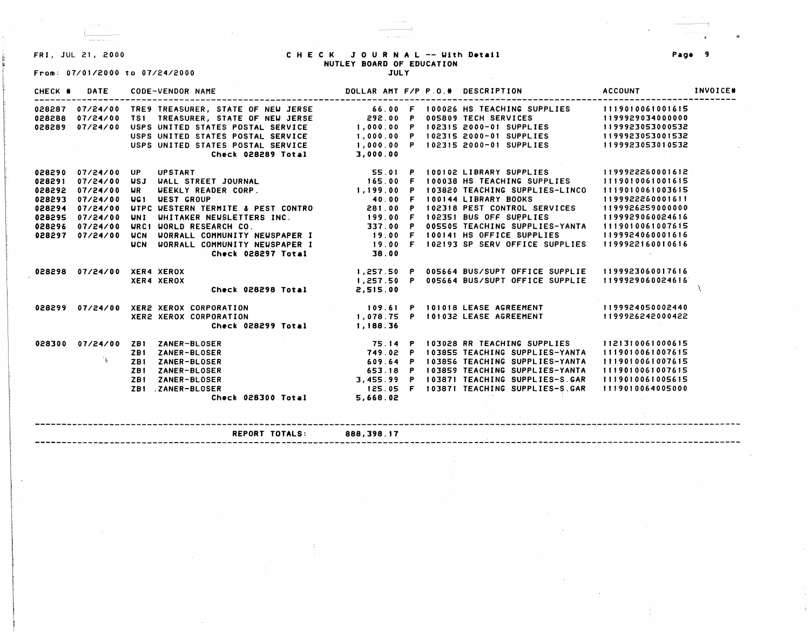# From: 07/01/2000 to 07/24/2000

## FRI, JUL 21, 2000 CHECK JOURNAL -- IJith **D•tail**  NUTLEY **BOARD** OF EDUCATION

**JULY** 

| CHECK # | DATE     | <b>CODE-VENDOR NAME</b>                                                                 | DOLLAR AMT F/P P.O.# DESCRIPTION |                                                                                                               | ACCOUNT          | INVOICE# |
|---------|----------|-----------------------------------------------------------------------------------------|----------------------------------|---------------------------------------------------------------------------------------------------------------|------------------|----------|
| 028287  |          | 07/24/00 TRE9 TREASURER, STATE OF NEW JERSE                                             |                                  | 66.00 F 100026 HS TEACHING SUPPLIES                                                                           | 1119010061001615 |          |
| 028288  | 07/24/00 | TS1 TREASURER, STATE OF NEW JERSE                                                       | 292.00 P                         | 005809 TECH SERVICES                                                                                          | 1199929034000000 |          |
| 028289  | 07/24/00 | USPS UNITED STATES POSTAL SERVICE                                                       |                                  | 1,000.00 P 102315 2000-01 SUPPLIES                                                                            | 1199923053000532 |          |
|         |          | USPS UNITED STATES POSTAL SERVICE                                                       |                                  | 1,000.00 P 102315 2000-01 SUPPLIES                                                                            | 1199923053001532 |          |
|         |          | USPS UNITED STATES POSTAL SERVICE                                                       |                                  | 1,000.00 P 102315 2000-01 SUPPLIES                                                                            | 1199923053010532 |          |
|         |          | Check 028289 Total<br>$\mathcal{L}(\mathcal{L})$ , and $\mathcal{L}(\mathcal{L})$ , and | 3,000.00                         |                                                                                                               |                  |          |
| 028290  | 07/24/00 | <b>UPSTART</b><br>UP.                                                                   |                                  | 55.01 P 100102 LIBRARY SUPPLIES<br>165.00 F 100038 HS TEACHING SUPPL                                          | 1199922260001612 |          |
| 028291  | 07/24/00 | <b>USJ</b><br><b>WALL STREET JOURNAL</b>                                                |                                  | 100038 HS TEACHING SUPPLIES                                                                                   | 1119010061001615 |          |
| 028292  | 07/24/00 | WEEKLY READER CORP.<br><b>UR</b>                                                        | 1, 199.00<br>- P                 | 103820 TEACHING SUPPLIES-LINCO                                                                                | 1119010061003615 |          |
| 028293  | 07/24/00 | <b>WEST GROUP</b><br>UG <sub>1</sub>                                                    | 40.00<br>$\mathbf{F}$            | 100144 LIBRARY BOOKS                                                                                          | 1199922260001611 |          |
| 028294  | 07/24/00 | WIPC WESTERN TERMITE & PEST CONTRO                                                      | 281.00<br>$\mathbf{P}$           | 102318 PEST CONTROL SERVICES                                                                                  | 1199926259000000 |          |
| 028295  | 07/24/00 | WHITAKER NEWSLETTERS INC.<br><b>UNI</b>                                                 | 199.00 F                         | 102351 BUS OFF SUPPLIES                                                                                       | 1199929060024616 |          |
| 028296  | 07/24/00 | URC1 UORLD RESEARCH CO.                                                                 | 337.00 P                         | 005505 TEACHING SUPPLIES-YANTA                                                                                | 1119010061007615 |          |
| 028297  | 07/24/00 | <b>UCN</b><br>WORRALL COMMUNITY NEWSPAPER I                                             | 19.00 F                          | 100141 HS OFFICE SUPPLIES                                                                                     | 1199924060001616 |          |
|         |          | WORRALL COMMUNITY NEWSPAPER I<br>UCN                                                    | <b>19.00 F</b>                   | 102193 SP SERV OFFICE SUPPLIES                                                                                | 1199922160010616 |          |
|         |          | Check 028297 Total                                                                      | 38.00                            |                                                                                                               |                  |          |
| 028298  |          | 07/24/00 XER4 XEROX                                                                     |                                  | 1,257.50 P 005664 BUS/SUPT OFFICE SUPPLIE 1199923060017616                                                    |                  |          |
|         |          | XER4 XEROX                                                                              |                                  | 1,257.50 P 005664 BUS/SUPT OFFICE SUPPLIE                                                                     | 1199929060024616 |          |
|         |          | Check 028298 Total                                                                      | 2,515.00                         |                                                                                                               |                  |          |
|         |          | 028299  07/24/00  XER2  XEROX  CORPORATION                                              |                                  | 109.61 P 101018 LEASE AGREEMENT                                                                               | 1199924050002440 |          |
|         |          | <b>XER2 XEROX CORPORATION</b>                                                           |                                  | 1,078.75 P 101032 LEASE AGREEMENT                                                                             | 1199926242000422 |          |
|         |          | Check 028299 Total 1,188.36                                                             |                                  | TE 14 P 103028 RR TEACHING SUPPLIES<br>749.02 P 103855 TEACHING SUPPLIES<br>609.64 P 103855 TEACHING SUPPLIES |                  |          |
| 028300  | 07/24/00 | ZB1 ZANER-BLOSER                                                                        |                                  |                                                                                                               | 1121310061000615 |          |
|         |          | ZANER-BLOSER<br>ZB1                                                                     |                                  | 103855 TEACHING SUPPLIES-YANTA                                                                                | 1119010061007615 |          |
|         | 74 F     | ZANER-BLOSER<br>ZB1                                                                     |                                  | 103856 TEACHING SUPPLIES-YANTA                                                                                | 1119010061007615 |          |
|         |          | ZANER-BLOSER<br>ZB 1                                                                    |                                  | P 103859 TEACHING SUPPLIES-YANTA                                                                              | 1119010061007615 |          |
|         |          | ZB1 ZANER-BLOSER                                                                        |                                  | 3,455.99 P 103871 TEACHING SUPPLIES-S.GAR                                                                     | 1119010061005615 |          |
|         |          | ZB1 .ZANER-BLOSER                                                                       | 125.05                           | F 103871 TEACHING SUPPLIES-S.GAR                                                                              | 1119010064005000 |          |
|         |          | Check 028300 Total                                                                      | 5,668.02                         |                                                                                                               |                  |          |
|         |          |                                                                                         |                                  |                                                                                                               |                  |          |
|         |          |                                                                                         |                                  |                                                                                                               |                  |          |

**REPORT TOTALS: 888,398.17** 

**Pag• 9**